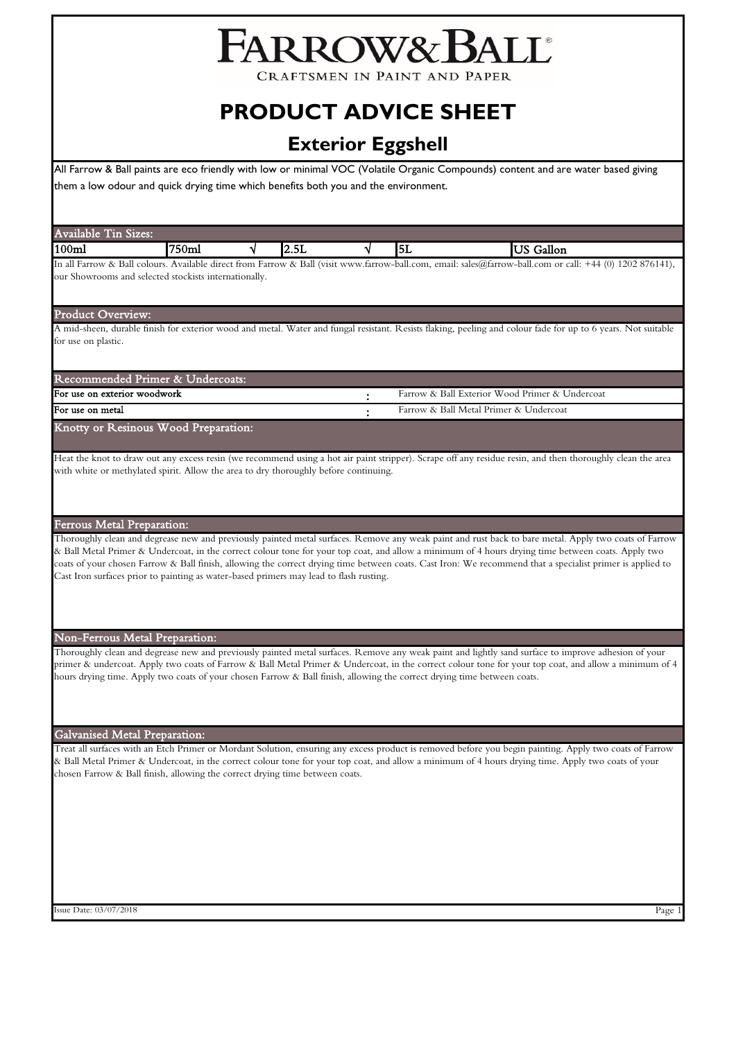# FARROW& BALL®

CRAFTSMEN IN PAINT AND PAPER

# **PRODUCT ADVICE SHEET**

# **Exterior Eggshell**

All Farrow & Ball paints are eco friendly with low or minimal VOC (Volatile Organic Compounds) content and are water based giving them a low odour and quick drying time which benefits both you and the environment.

| <b>Available Tin Sizes:</b>       |                                                                                                                         |   |      |   |    |                                                                                                                                                                                                                                                                                                                                                                                                                                                                          |
|-----------------------------------|-------------------------------------------------------------------------------------------------------------------------|---|------|---|----|--------------------------------------------------------------------------------------------------------------------------------------------------------------------------------------------------------------------------------------------------------------------------------------------------------------------------------------------------------------------------------------------------------------------------------------------------------------------------|
| 100 <sub>ml</sub>                 | 750ml                                                                                                                   | √ | 2.5L | √ | 5L | <b>US</b> Gallon                                                                                                                                                                                                                                                                                                                                                                                                                                                         |
|                                   | our Showrooms and selected stockists internationally.                                                                   |   |      |   |    | In all Farrow & Ball colours. Available direct from Farrow & Ball (visit www.farrow-ball.com, email: sales@farrow-ball.com or call: +44 (0) 1202 876141),                                                                                                                                                                                                                                                                                                                |
| Product Overview:                 |                                                                                                                         |   |      |   |    | A mid-sheen, durable finish for exterior wood and metal. Water and fungal resistant. Resists flaking, peeling and colour fade for up to 6 years. Not suitable                                                                                                                                                                                                                                                                                                            |
| for use on plastic.               |                                                                                                                         |   |      |   |    |                                                                                                                                                                                                                                                                                                                                                                                                                                                                          |
|                                   | Recommended Primer & Undercoats:                                                                                        |   |      |   |    |                                                                                                                                                                                                                                                                                                                                                                                                                                                                          |
| For use on exterior woodwork      |                                                                                                                         |   |      |   |    | Farrow & Ball Exterior Wood Primer & Undercoat                                                                                                                                                                                                                                                                                                                                                                                                                           |
| For use on metal                  |                                                                                                                         |   |      |   |    | Farrow & Ball Metal Primer & Undercoat                                                                                                                                                                                                                                                                                                                                                                                                                                   |
|                                   | Knotty or Resinous Wood Preparation:                                                                                    |   |      |   |    |                                                                                                                                                                                                                                                                                                                                                                                                                                                                          |
|                                   | with white or methylated spirit. Allow the area to dry thoroughly before continuing.                                    |   |      |   |    | Heat the knot to draw out any excess resin (we recommend using a hot air paint stripper). Scrape off any residue resin, and then thoroughly clean the area                                                                                                                                                                                                                                                                                                               |
| <b>Ferrous Metal Preparation:</b> |                                                                                                                         |   |      |   |    |                                                                                                                                                                                                                                                                                                                                                                                                                                                                          |
|                                   | Cast Iron surfaces prior to painting as water-based primers may lead to flash rusting.                                  |   |      |   |    | Thoroughly clean and degrease new and previously painted metal surfaces. Remove any weak paint and rust back to bare metal. Apply two coats of Farrow<br>& Ball Metal Primer & Undercoat, in the correct colour tone for your top coat, and allow a minimum of 4 hours drying time between coats. Apply two<br>coats of your chosen Farrow & Ball finish, allowing the correct drying time between coats. Cast Iron: We recommend that a specialist primer is applied to |
|                                   | <b>Non-Ferrous Metal Preparation:</b>                                                                                   |   |      |   |    |                                                                                                                                                                                                                                                                                                                                                                                                                                                                          |
|                                   | hours drying time. Apply two coats of your chosen Farrow & Ball finish, allowing the correct drying time between coats. |   |      |   |    | Thoroughly clean and degrease new and previously painted metal surfaces. Remove any weak paint and lightly sand surface to improve adhesion of your<br>primer & undercoat. Apply two coats of Farrow & Ball Metal Primer & Undercoat, in the correct colour tone for your top coat, and allow a minimum of 4                                                                                                                                                             |
|                                   | <b>Galvanised Metal Preparation:</b>                                                                                    |   |      |   |    |                                                                                                                                                                                                                                                                                                                                                                                                                                                                          |
|                                   | chosen Farrow & Ball finish, allowing the correct drying time between coats.                                            |   |      |   |    | Treat all surfaces with an Etch Primer or Mordant Solution, ensuring any excess product is removed before you begin painting. Apply two coats of Farrow<br>& Ball Metal Primer & Undercoat, in the correct colour tone for your top coat, and allow a minimum of 4 hours drying time. Apply two coats of your                                                                                                                                                            |
|                                   |                                                                                                                         |   |      |   |    |                                                                                                                                                                                                                                                                                                                                                                                                                                                                          |
|                                   |                                                                                                                         |   |      |   |    |                                                                                                                                                                                                                                                                                                                                                                                                                                                                          |
|                                   |                                                                                                                         |   |      |   |    |                                                                                                                                                                                                                                                                                                                                                                                                                                                                          |

Issue Date: 03/07/2018 Page 1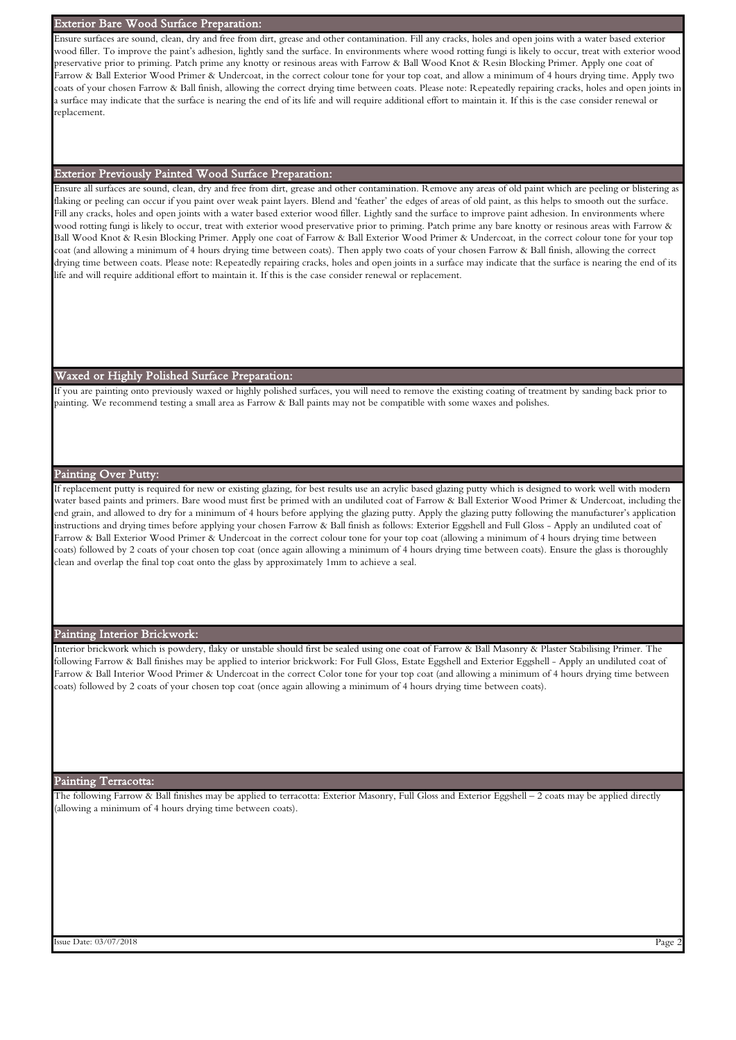#### Exterior Bare Wood Surface Preparation:

Ensure surfaces are sound, clean, dry and free from dirt, grease and other contamination. Fill any cracks, holes and open joins with a water based exterior wood filler. To improve the paint's adhesion, lightly sand the surface. In environments where wood rotting fungi is likely to occur, treat with exterior wood preservative prior to priming. Patch prime any knotty or resinous areas with Farrow & Ball Wood Knot & Resin Blocking Primer. Apply one coat of Farrow & Ball Exterior Wood Primer & Undercoat, in the correct colour tone for your top coat, and allow a minimum of 4 hours drying time. Apply two coats of your chosen Farrow & Ball finish, allowing the correct drying time between coats. Please note: Repeatedly repairing cracks, holes and open joints in a surface may indicate that the surface is nearing the end of its life and will require additional effort to maintain it. If this is the case consider renewal or replacement.

# Exterior Previously Painted Wood Surface Preparation:

Ensure all surfaces are sound, clean, dry and free from dirt, grease and other contamination. Remove any areas of old paint which are peeling or blistering as flaking or peeling can occur if you paint over weak paint layers. Blend and 'feather' the edges of areas of old paint, as this helps to smooth out the surface. Fill any cracks, holes and open joints with a water based exterior wood filler. Lightly sand the surface to improve paint adhesion. In environments where wood rotting fungi is likely to occur, treat with exterior wood preservative prior to priming. Patch prime any bare knotty or resinous areas with Farrow & Ball Wood Knot & Resin Blocking Primer. Apply one coat of Farrow & Ball Exterior Wood Primer & Undercoat, in the correct colour tone for your top coat (and allowing a minimum of 4 hours drying time between coats). Then apply two coats of your chosen Farrow & Ball finish, allowing the correct drying time between coats. Please note: Repeatedly repairing cracks, holes and open joints in a surface may indicate that the surface is nearing the end of its life and will require additional effort to maintain it. If this is the case consider renewal or replacement.

## Waxed or Highly Polished Surface Preparation:

If you are painting onto previously waxed or highly polished surfaces, you will need to remove the existing coating of treatment by sanding back prior to painting. We recommend testing a small area as Farrow & Ball paints may not be compatible with some waxes and polishes.

#### Painting Over Putty:

If replacement putty is required for new or existing glazing, for best results use an acrylic based glazing putty which is designed to work well with modern water based paints and primers. Bare wood must first be primed with an undiluted coat of Farrow & Ball Exterior Wood Primer & Undercoat, including the end grain, and allowed to dry for a minimum of 4 hours before applying the glazing putty. Apply the glazing putty following the manufacturer's application instructions and drying times before applying your chosen Farrow & Ball finish as follows: Exterior Eggshell and Full Gloss - Apply an undiluted coat of Farrow & Ball Exterior Wood Primer & Undercoat in the correct colour tone for your top coat (allowing a minimum of 4 hours drying time between coats) followed by 2 coats of your chosen top coat (once again allowing a minimum of 4 hours drying time between coats). Ensure the glass is thoroughly clean and overlap the final top coat onto the glass by approximately 1mm to achieve a seal.

# Painting Interior Brickwork:

Interior brickwork which is powdery, flaky or unstable should first be sealed using one coat of Farrow & Ball Masonry & Plaster Stabilising Primer. The following Farrow & Ball finishes may be applied to interior brickwork: For Full Gloss, Estate Eggshell and Exterior Eggshell - Apply an undiluted coat of Farrow & Ball Interior Wood Primer & Undercoat in the correct Color tone for your top coat (and allowing a minimum of 4 hours drying time between coats) followed by 2 coats of your chosen top coat (once again allowing a minimum of 4 hours drying time between coats).

#### Painting Terracotta:

The following Farrow & Ball finishes may be applied to terracotta: Exterior Masonry, Full Gloss and Exterior Eggshell – 2 coats may be applied directly (allowing a minimum of 4 hours drying time between coats).

Issue Date: 03/07/2018 Page 2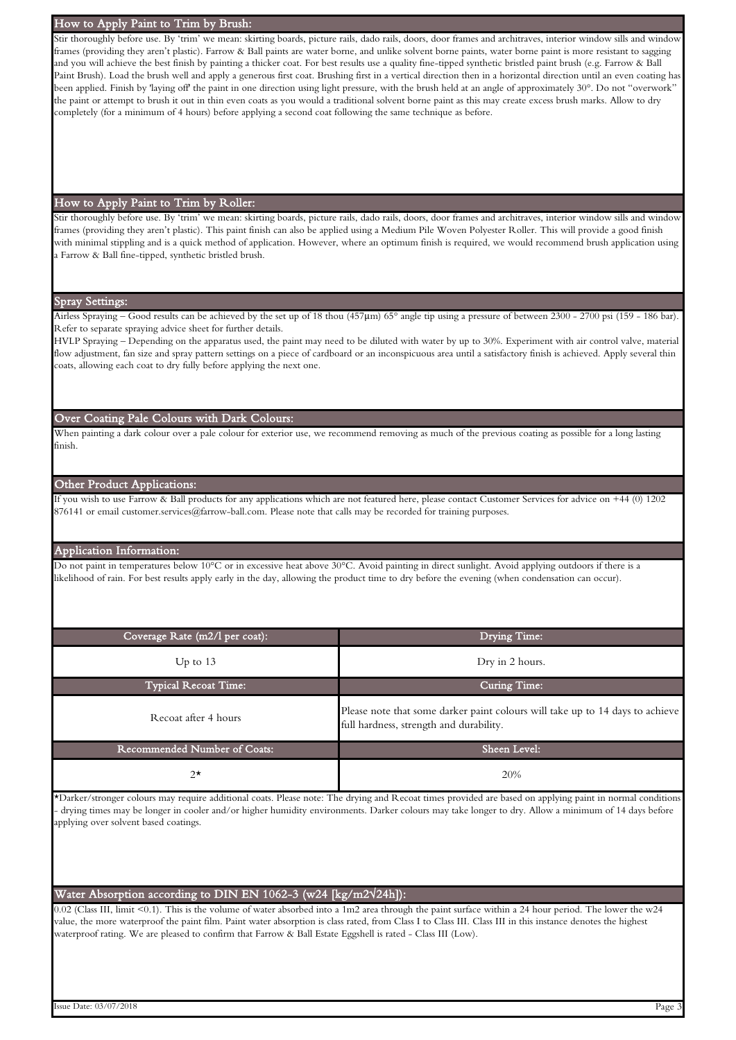# How to Apply Paint to Trim by Brush:

Stir thoroughly before use. By 'trim' we mean: skirting boards, picture rails, dado rails, doors, door frames and architraves, interior window sills and window frames (providing they aren't plastic). Farrow & Ball paints are water borne, and unlike solvent borne paints, water borne paint is more resistant to sagging and you will achieve the best finish by painting a thicker coat. For best results use a quality fine-tipped synthetic bristled paint brush (e.g. Farrow & Ball Paint Brush). Load the brush well and apply a generous first coat. Brushing first in a vertical direction then in a horizontal direction until an even coating has been applied. Finish by 'laying off' the paint in one direction using light pressure, with the brush held at an angle of approximately 30°. Do not "overwork" the paint or attempt to brush it out in thin even coats as you would a traditional solvent borne paint as this may create excess brush marks. Allow to dry completely (for a minimum of 4 hours) before applying a second coat following the same technique as before.

## How to Apply Paint to Trim by Roller:

Stir thoroughly before use. By 'trim' we mean: skirting boards, picture rails, dado rails, doors, door frames and architraves, interior window sills and window frames (providing they aren't plastic). This paint finish can also be applied using a Medium Pile Woven Polyester Roller. This will provide a good finish with minimal stippling and is a quick method of application. However, where an optimum finish is required, we would recommend brush application using a Farrow & Ball fine-tipped, synthetic bristled brush.

# Spray Settings:

Airless Spraying – Good results can be achieved by the set up of 18 thou (457µm) 65° angle tip using a pressure of between 2300 - 2700 psi (159 - 186 bar). Refer to separate spraying advice sheet for further details.

HVLP Spraying – Depending on the apparatus used, the paint may need to be diluted with water by up to 30%. Experiment with air control valve, material flow adjustment, fan size and spray pattern settings on a piece of cardboard or an inconspicuous area until a satisfactory finish is achieved. Apply several thin coats, allowing each coat to dry fully before applying the next one.

# Over Coating Pale Colours with Dark Colours:

When painting a dark colour over a pale colour for exterior use, we recommend removing as much of the previous coating as possible for a long lasting finish.

# Other Product Applications:

If you wish to use Farrow & Ball products for any applications which are not featured here, please contact Customer Services for advice on +44 (0) 1202 876141 or email customer.services@farrow-ball.com. Please note that calls may be recorded for training purposes.

# Application Information:

Do not paint in temperatures below 10°C or in excessive heat above 30°C. Avoid painting in direct sunlight. Avoid applying outdoors if there is a likelihood of rain. For best results apply early in the day, allowing the product time to dry before the evening (when condensation can occur).

| Coverage Rate (m2/l per coat): | Drying Time:                                                                                                             |
|--------------------------------|--------------------------------------------------------------------------------------------------------------------------|
| Up to $13$                     | Dry in 2 hours.                                                                                                          |
| <b>Typical Recoat Time:</b>    | Curing Time:                                                                                                             |
| Recoat after 4 hours           | Please note that some darker paint colours will take up to 14 days to achieve<br>full hardness, strength and durability. |
| Recommended Number of Coats:   | Sheen Level:                                                                                                             |
| $2^{\star}$                    | 20%                                                                                                                      |

\*Darker/stronger colours may require additional coats. Please note: The drying and Recoat times provided are based on applying paint in normal conditions - drying times may be longer in cooler and/or higher humidity environments. Darker colours may take longer to dry. Allow a minimum of 14 days before applying over solvent based coatings.

# Water Absorption according to DIN EN 1062-3 (w24 [kg/m2√24h]):

0.02 (Class III, limit <0.1). This is the volume of water absorbed into a 1m2 area through the paint surface within a 24 hour period. The lower the w24 value, the more waterproof the paint film. Paint water absorption is class rated, from Class I to Class III. Class III in this instance denotes the highest waterproof rating. We are pleased to confirm that Farrow & Ball Estate Eggshell is rated - Class III (Low).